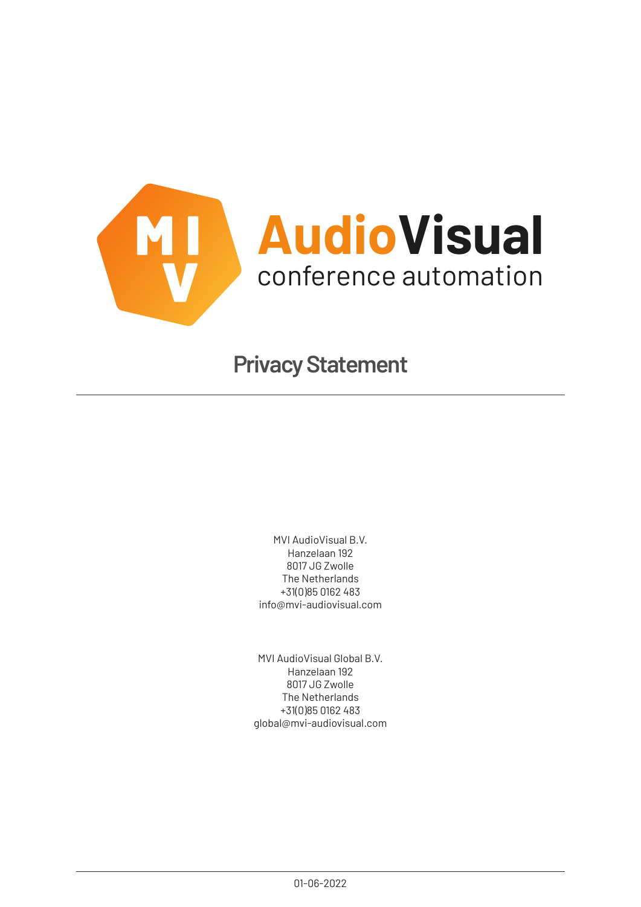

# **Privacy Statement**

MVI AudioVisual B.V. Hanzelaan 192 8017 JG Zwolle The Netherlands +31(0)85 0162 483 info@mvi-audiovisual.com

MVI AudioVisual Global B.V. Hanzelaan 192 8017 JG Zwolle The Netherlands +31(0)85 0162 483 global@mvi-audiovisual.com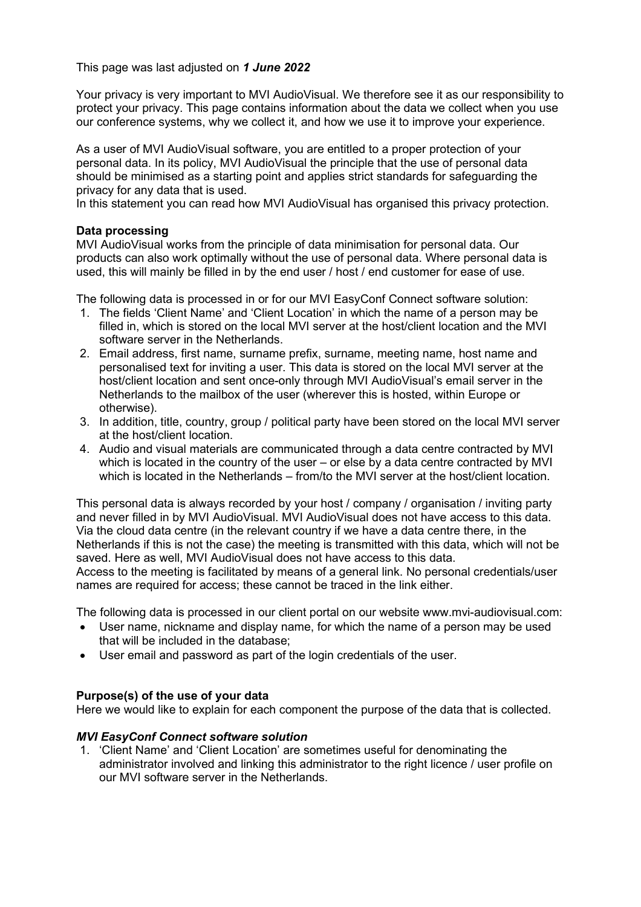This page was last adjusted on *1 June 2022*

Your privacy is very important to MVI AudioVisual. We therefore see it as our responsibility to protect your privacy. This page contains information about the data we collect when you use our conference systems, why we collect it, and how we use it to improve your experience.

As a user of MVI AudioVisual software, you are entitled to a proper protection of your personal data. In its policy, MVI AudioVisual the principle that the use of personal data should be minimised as a starting point and applies strict standards for safeguarding the privacy for any data that is used.

In this statement you can read how MVI AudioVisual has organised this privacy protection.

# **Data processing**

MVI AudioVisual works from the principle of data minimisation for personal data. Our products can also work optimally without the use of personal data. Where personal data is used, this will mainly be filled in by the end user / host / end customer for ease of use.

The following data is processed in or for our MVI EasyConf Connect software solution:

- 1. The fields 'Client Name' and 'Client Location' in which the name of a person may be filled in, which is stored on the local MVI server at the host/client location and the MVI software server in the Netherlands.
- 2. Email address, first name, surname prefix, surname, meeting name, host name and personalised text for inviting a user. This data is stored on the local MVI server at the host/client location and sent once-only through MVI AudioVisual's email server in the Netherlands to the mailbox of the user (wherever this is hosted, within Europe or otherwise).
- 3. In addition, title, country, group / political party have been stored on the local MVI server at the host/client location.
- 4. Audio and visual materials are communicated through a data centre contracted by MVI which is located in the country of the user – or else by a data centre contracted by MVI which is located in the Netherlands – from/to the MVI server at the host/client location.

This personal data is always recorded by your host / company / organisation / inviting party and never filled in by MVI AudioVisual. MVI AudioVisual does not have access to this data. Via the cloud data centre (in the relevant country if we have a data centre there, in the Netherlands if this is not the case) the meeting is transmitted with this data, which will not be saved. Here as well, MVI AudioVisual does not have access to this data.

Access to the meeting is facilitated by means of a general link. No personal credentials/user names are required for access; these cannot be traced in the link either.

The following data is processed in our client portal on our website www.mvi-audiovisual.com:

- User name, nickname and display name, for which the name of a person may be used that will be included in the database;
- User email and password as part of the login credentials of the user.

# **Purpose(s) of the use of your data**

Here we would like to explain for each component the purpose of the data that is collected.

# *MVI EasyConf Connect software solution*

1. 'Client Name' and 'Client Location' are sometimes useful for denominating the administrator involved and linking this administrator to the right licence / user profile on our MVI software server in the Netherlands.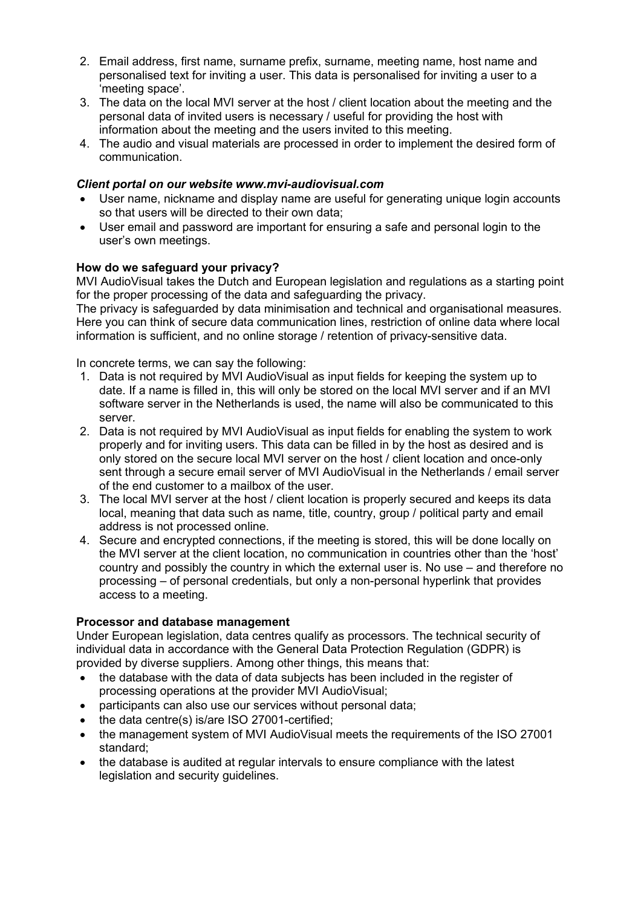- 2. Email address, first name, surname prefix, surname, meeting name, host name and personalised text for inviting a user. This data is personalised for inviting a user to a 'meeting space'.
- 3. The data on the local MVI server at the host / client location about the meeting and the personal data of invited users is necessary / useful for providing the host with information about the meeting and the users invited to this meeting.
- 4. The audio and visual materials are processed in order to implement the desired form of communication.

## *Client portal on our website www.mvi-audiovisual.com*

- User name, nickname and display name are useful for generating unique login accounts so that users will be directed to their own data;
- User email and password are important for ensuring a safe and personal login to the user's own meetings.

## **How do we safeguard your privacy?**

MVI AudioVisual takes the Dutch and European legislation and regulations as a starting point for the proper processing of the data and safeguarding the privacy.

The privacy is safeguarded by data minimisation and technical and organisational measures. Here you can think of secure data communication lines, restriction of online data where local information is sufficient, and no online storage / retention of privacy-sensitive data.

In concrete terms, we can say the following:

- 1. Data is not required by MVI AudioVisual as input fields for keeping the system up to date. If a name is filled in, this will only be stored on the local MVI server and if an MVI software server in the Netherlands is used, the name will also be communicated to this server.
- 2. Data is not required by MVI AudioVisual as input fields for enabling the system to work properly and for inviting users. This data can be filled in by the host as desired and is only stored on the secure local MVI server on the host / client location and once-only sent through a secure email server of MVI AudioVisual in the Netherlands / email server of the end customer to a mailbox of the user.
- 3. The local MVI server at the host / client location is properly secured and keeps its data local, meaning that data such as name, title, country, group / political party and email address is not processed online.
- 4. Secure and encrypted connections, if the meeting is stored, this will be done locally on the MVI server at the client location, no communication in countries other than the 'host' country and possibly the country in which the external user is. No use – and therefore no processing – of personal credentials, but only a non-personal hyperlink that provides access to a meeting.

#### **Processor and database management**

Under European legislation, data centres qualify as processors. The technical security of individual data in accordance with the General Data Protection Regulation (GDPR) is provided by diverse suppliers. Among other things, this means that:

- the database with the data of data subjects has been included in the register of processing operations at the provider MVI AudioVisual;
- participants can also use our services without personal data;
- the data centre(s) is/are ISO 27001-certified;
- the management system of MVI AudioVisual meets the requirements of the ISO 27001 standard;
- the database is audited at regular intervals to ensure compliance with the latest legislation and security guidelines.